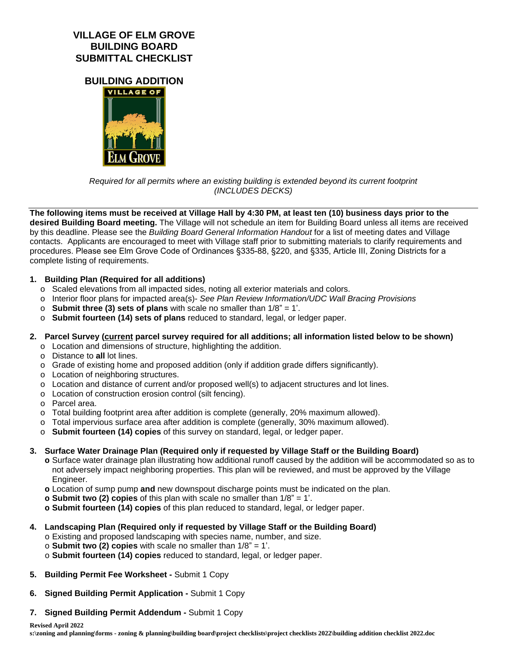## **VILLAGE OF ELM GROVE BUILDING BOARD SUBMITTAL CHECKLIST**

**BUILDING ADDITION**



*Required for all permits where an existing building is extended beyond its current footprint (INCLUDES DECKS)*

**The following items must be received at Village Hall by 4:30 PM, at least ten (10) business days prior to the desired Building Board meeting.** The Village will not schedule an item for Building Board unless all items are received by this deadline. Please see the *Building Board General Information Handout* for a list of meeting dates and Village contacts. Applicants are encouraged to meet with Village staff prior to submitting materials to clarify requirements and procedures. Please see Elm Grove Code of Ordinances §335-88, §220, and §335, Article III, Zoning Districts for a complete listing of requirements.

### **1. Building Plan (Required for all additions)**

- o Scaled elevations from all impacted sides, noting all exterior materials and colors.
- o Interior floor plans for impacted area(s)- *See Plan Review Information/UDC Wall Bracing Provisions*
- o **Submit three (3) sets of plans** with scale no smaller than 1/8" = 1'.
- o **Submit fourteen (14) sets of plans** reduced to standard, legal, or ledger paper.

#### **2. Parcel Survey (current parcel survey required for all additions; all information listed below to be shown)**

- o Location and dimensions of structure, highlighting the addition.
- o Distance to **all** lot lines.
- o Grade of existing home and proposed addition (only if addition grade differs significantly).
- o Location of neighboring structures.
- o Location and distance of current and/or proposed well(s) to adjacent structures and lot lines.
- o Location of construction erosion control (silt fencing).
- o Parcel area.
- o Total building footprint area after addition is complete (generally, 20% maximum allowed).
- o Total impervious surface area after addition is complete (generally, 30% maximum allowed).
- o **Submit fourteen (14) copies** of this survey on standard, legal, or ledger paper.
- **3. Surface Water Drainage Plan (Required only if requested by Village Staff or the Building Board)**
	- **o** Surface water drainage plan illustrating how additional runoff caused by the addition will be accommodated so as to not adversely impact neighboring properties. This plan will be reviewed, and must be approved by the Village Engineer.
	- **o** Location of sump pump **and** new downspout discharge points must be indicated on the plan.
	- **o Submit two (2) copies** of this plan with scale no smaller than 1/8" = 1'.
	- **o Submit fourteen (14) copies** of this plan reduced to standard, legal, or ledger paper.
- **4. Landscaping Plan (Required only if requested by Village Staff or the Building Board)**
	- o Existing and proposed landscaping with species name, number, and size.
	- o **Submit two (2) copies** with scale no smaller than 1/8" = 1'.
	- o **Submit fourteen (14) copies** reduced to standard, legal, or ledger paper.
- **5. Building Permit Fee Worksheet** Submit 1 Copy
- **6. Signed Building Permit Application** Submit 1 Copy
- **7. Signed Building Permit Addendum** Submit 1 Copy

**s:\zoning and planning\forms - zoning & planning\building board\project checklists\project checklists 2022\building addition checklist 2022.doc**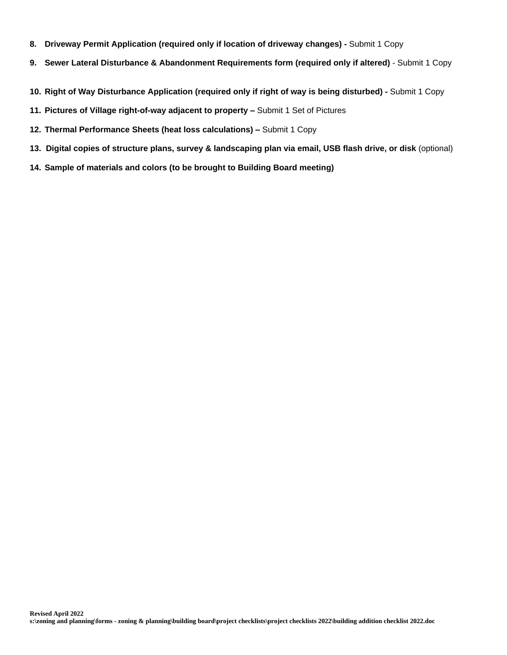- **8. Driveway Permit Application (required only if location of driveway changes)** Submit 1 Copy
- **9. Sewer Lateral Disturbance & Abandonment Requirements form (required only if altered)** Submit 1 Copy
- **10. Right of Way Disturbance Application (required only if right of way is being disturbed)** Submit 1 Copy
- **11. Pictures of Village right-of-way adjacent to property –** Submit 1 Set of Pictures
- **12. Thermal Performance Sheets (heat loss calculations) –** Submit 1 Copy
- **13. Digital copies of structure plans, survey & landscaping plan via email, USB flash drive, or disk** (optional)
- **14. Sample of materials and colors (to be brought to Building Board meeting)**